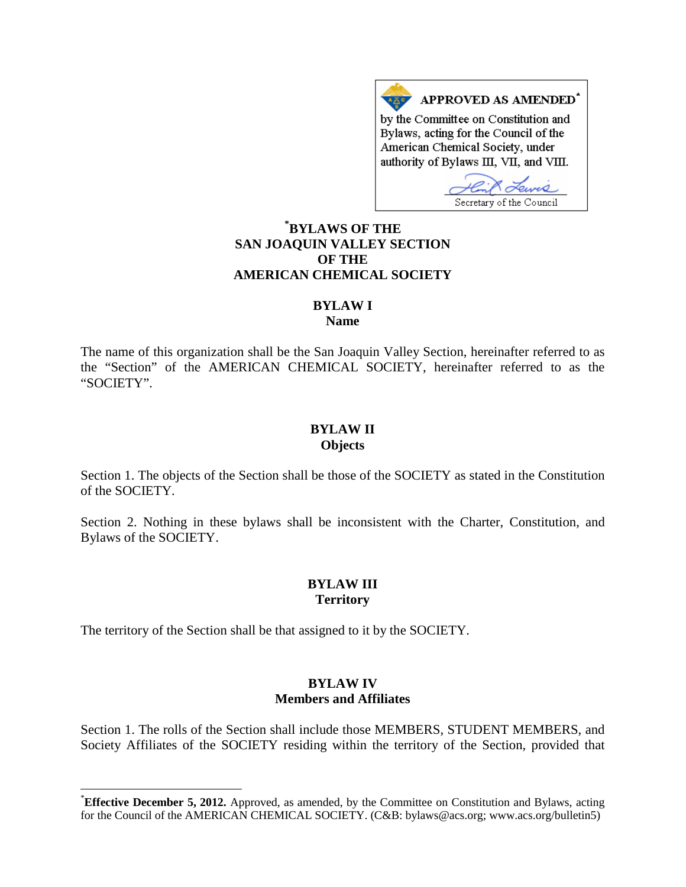APPROVED AS AMENDED\* by the Committee on Constitution and Bylaws, acting for the Council of the American Chemical Society, under authority of Bylaws III, VII, and VIII.

Secretary of the Council

# **[\\*](#page-0-0) BYLAWS OF THE SAN JOAQUIN VALLEY SECTION OF THE AMERICAN CHEMICAL SOCIETY**

### **BYLAW I**

**Name**

The name of this organization shall be the San Joaquin Valley Section, hereinafter referred to as the "Section" of the AMERICAN CHEMICAL SOCIETY, hereinafter referred to as the "SOCIETY".

#### **BYLAW II Objects**

Section 1. The objects of the Section shall be those of the SOCIETY as stated in the Constitution of the SOCIETY.

Section 2. Nothing in these bylaws shall be inconsistent with the Charter, Constitution, and Bylaws of the SOCIETY.

### **BYLAW III Territory**

The territory of the Section shall be that assigned to it by the SOCIETY.

# **BYLAW IV Members and Affiliates**

Section 1. The rolls of the Section shall include those MEMBERS, STUDENT MEMBERS, and Society Affiliates of the SOCIETY residing within the territory of the Section, provided that

<span id="page-0-0"></span> <sup>\*</sup> **Effective December 5, 2012.** Approved, as amended, by the Committee on Constitution and Bylaws, acting for the Council of the AMERICAN CHEMICAL SOCIETY. (C&B: bylaws@acs.org; www.acs.org/bulletin5)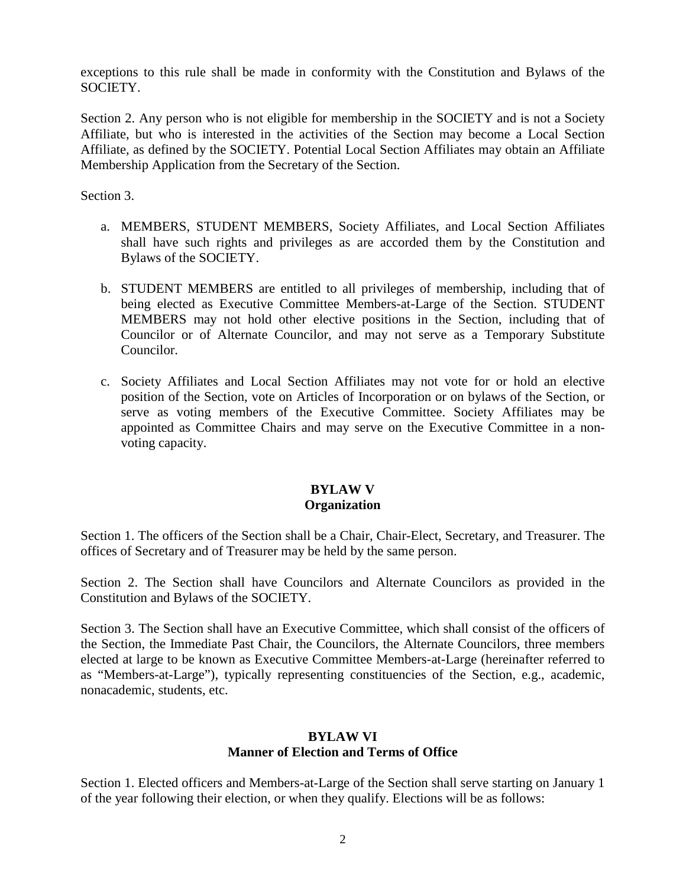exceptions to this rule shall be made in conformity with the Constitution and Bylaws of the SOCIETY.

Section 2. Any person who is not eligible for membership in the SOCIETY and is not a Society Affiliate, but who is interested in the activities of the Section may become a Local Section Affiliate, as defined by the SOCIETY. Potential Local Section Affiliates may obtain an Affiliate Membership Application from the Secretary of the Section.

Section 3.

- a. MEMBERS, STUDENT MEMBERS, Society Affiliates, and Local Section Affiliates shall have such rights and privileges as are accorded them by the Constitution and Bylaws of the SOCIETY.
- b. STUDENT MEMBERS are entitled to all privileges of membership, including that of being elected as Executive Committee Members-at-Large of the Section. STUDENT MEMBERS may not hold other elective positions in the Section, including that of Councilor or of Alternate Councilor, and may not serve as a Temporary Substitute Councilor.
- c. Society Affiliates and Local Section Affiliates may not vote for or hold an elective position of the Section, vote on Articles of Incorporation or on bylaws of the Section, or serve as voting members of the Executive Committee. Society Affiliates may be appointed as Committee Chairs and may serve on the Executive Committee in a nonvoting capacity.

# **BYLAW V Organization**

Section 1. The officers of the Section shall be a Chair, Chair-Elect, Secretary, and Treasurer. The offices of Secretary and of Treasurer may be held by the same person.

Section 2. The Section shall have Councilors and Alternate Councilors as provided in the Constitution and Bylaws of the SOCIETY.

Section 3. The Section shall have an Executive Committee, which shall consist of the officers of the Section, the Immediate Past Chair, the Councilors, the Alternate Councilors, three members elected at large to be known as Executive Committee Members-at-Large (hereinafter referred to as "Members-at-Large"), typically representing constituencies of the Section, e.g., academic, nonacademic, students, etc.

### **BYLAW VI Manner of Election and Terms of Office**

Section 1. Elected officers and Members-at-Large of the Section shall serve starting on January 1 of the year following their election, or when they qualify. Elections will be as follows: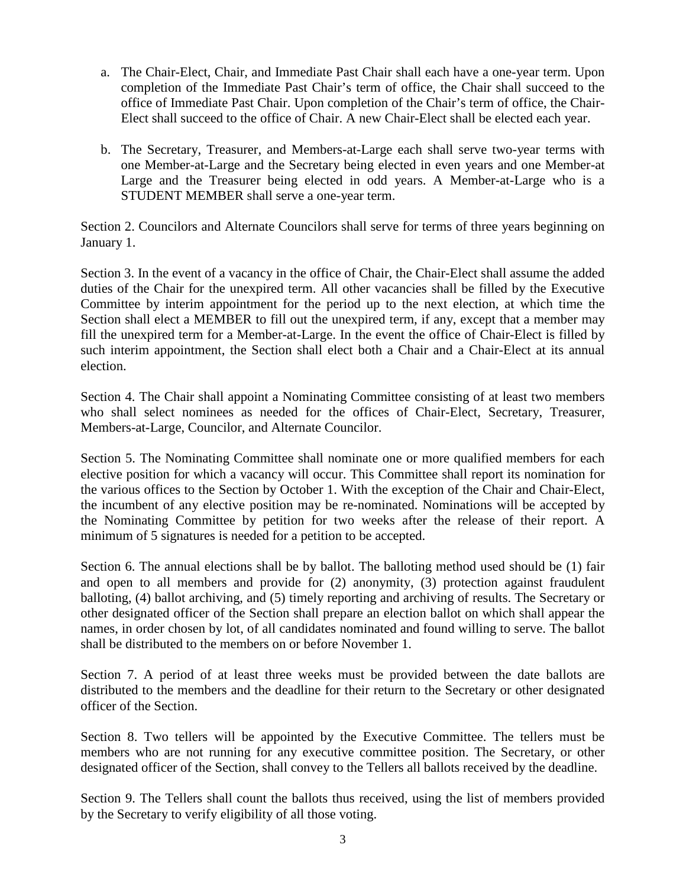- a. The Chair-Elect, Chair, and Immediate Past Chair shall each have a one-year term. Upon completion of the Immediate Past Chair's term of office, the Chair shall succeed to the office of Immediate Past Chair. Upon completion of the Chair's term of office, the Chair-Elect shall succeed to the office of Chair. A new Chair-Elect shall be elected each year.
- b. The Secretary, Treasurer, and Members-at-Large each shall serve two-year terms with one Member-at-Large and the Secretary being elected in even years and one Member-at Large and the Treasurer being elected in odd years. A Member-at-Large who is a STUDENT MEMBER shall serve a one-year term.

Section 2. Councilors and Alternate Councilors shall serve for terms of three years beginning on January 1.

Section 3. In the event of a vacancy in the office of Chair, the Chair-Elect shall assume the added duties of the Chair for the unexpired term. All other vacancies shall be filled by the Executive Committee by interim appointment for the period up to the next election, at which time the Section shall elect a MEMBER to fill out the unexpired term, if any, except that a member may fill the unexpired term for a Member-at-Large. In the event the office of Chair-Elect is filled by such interim appointment, the Section shall elect both a Chair and a Chair-Elect at its annual election.

Section 4. The Chair shall appoint a Nominating Committee consisting of at least two members who shall select nominees as needed for the offices of Chair-Elect, Secretary, Treasurer, Members-at-Large, Councilor, and Alternate Councilor.

Section 5. The Nominating Committee shall nominate one or more qualified members for each elective position for which a vacancy will occur. This Committee shall report its nomination for the various offices to the Section by October 1. With the exception of the Chair and Chair-Elect, the incumbent of any elective position may be re-nominated. Nominations will be accepted by the Nominating Committee by petition for two weeks after the release of their report. A minimum of 5 signatures is needed for a petition to be accepted.

Section 6. The annual elections shall be by ballot. The balloting method used should be (1) fair and open to all members and provide for (2) anonymity, (3) protection against fraudulent balloting, (4) ballot archiving, and (5) timely reporting and archiving of results. The Secretary or other designated officer of the Section shall prepare an election ballot on which shall appear the names, in order chosen by lot, of all candidates nominated and found willing to serve. The ballot shall be distributed to the members on or before November 1.

Section 7. A period of at least three weeks must be provided between the date ballots are distributed to the members and the deadline for their return to the Secretary or other designated officer of the Section.

Section 8. Two tellers will be appointed by the Executive Committee. The tellers must be members who are not running for any executive committee position. The Secretary, or other designated officer of the Section, shall convey to the Tellers all ballots received by the deadline.

Section 9. The Tellers shall count the ballots thus received, using the list of members provided by the Secretary to verify eligibility of all those voting.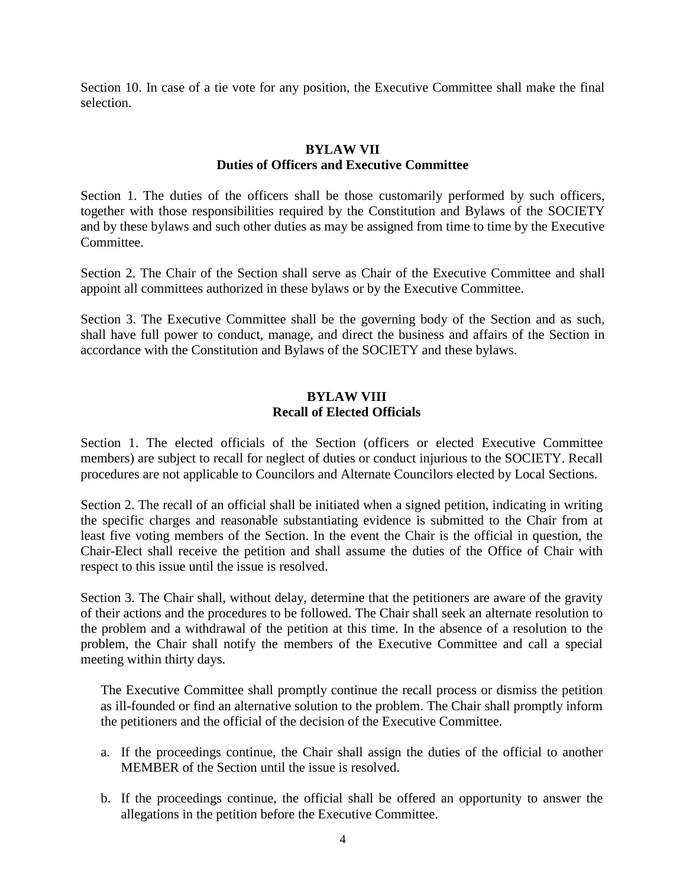Section 10. In case of a tie vote for any position, the Executive Committee shall make the final selection.

### **BYLAW VII Duties of Officers and Executive Committee**

Section 1. The duties of the officers shall be those customarily performed by such officers, together with those responsibilities required by the Constitution and Bylaws of the SOCIETY and by these bylaws and such other duties as may be assigned from time to time by the Executive Committee.

Section 2. The Chair of the Section shall serve as Chair of the Executive Committee and shall appoint all committees authorized in these bylaws or by the Executive Committee.

Section 3. The Executive Committee shall be the governing body of the Section and as such, shall have full power to conduct, manage, and direct the business and affairs of the Section in accordance with the Constitution and Bylaws of the SOCIETY and these bylaws.

#### **BYLAW VIII Recall of Elected Officials**

Section 1. The elected officials of the Section (officers or elected Executive Committee members) are subject to recall for neglect of duties or conduct injurious to the SOCIETY. Recall procedures are not applicable to Councilors and Alternate Councilors elected by Local Sections.

Section 2. The recall of an official shall be initiated when a signed petition, indicating in writing the specific charges and reasonable substantiating evidence is submitted to the Chair from at least five voting members of the Section. In the event the Chair is the official in question, the Chair-Elect shall receive the petition and shall assume the duties of the Office of Chair with respect to this issue until the issue is resolved.

Section 3. The Chair shall, without delay, determine that the petitioners are aware of the gravity of their actions and the procedures to be followed. The Chair shall seek an alternate resolution to the problem and a withdrawal of the petition at this time. In the absence of a resolution to the problem, the Chair shall notify the members of the Executive Committee and call a special meeting within thirty days.

The Executive Committee shall promptly continue the recall process or dismiss the petition as ill-founded or find an alternative solution to the problem. The Chair shall promptly inform the petitioners and the official of the decision of the Executive Committee.

- a. If the proceedings continue, the Chair shall assign the duties of the official to another MEMBER of the Section until the issue is resolved.
- b. If the proceedings continue, the official shall be offered an opportunity to answer the allegations in the petition before the Executive Committee.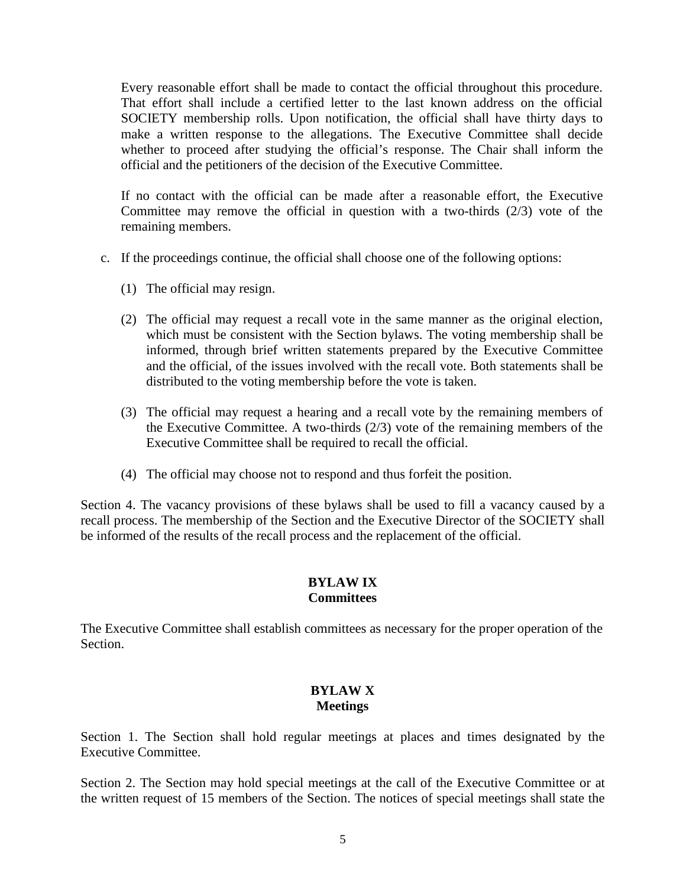Every reasonable effort shall be made to contact the official throughout this procedure. That effort shall include a certified letter to the last known address on the official SOCIETY membership rolls. Upon notification, the official shall have thirty days to make a written response to the allegations. The Executive Committee shall decide whether to proceed after studying the official's response. The Chair shall inform the official and the petitioners of the decision of the Executive Committee.

If no contact with the official can be made after a reasonable effort, the Executive Committee may remove the official in question with a two-thirds (2/3) vote of the remaining members.

- c. If the proceedings continue, the official shall choose one of the following options:
	- (1) The official may resign.
	- (2) The official may request a recall vote in the same manner as the original election, which must be consistent with the Section bylaws. The voting membership shall be informed, through brief written statements prepared by the Executive Committee and the official, of the issues involved with the recall vote. Both statements shall be distributed to the voting membership before the vote is taken.
	- (3) The official may request a hearing and a recall vote by the remaining members of the Executive Committee. A two-thirds (2/3) vote of the remaining members of the Executive Committee shall be required to recall the official.
	- (4) The official may choose not to respond and thus forfeit the position.

Section 4. The vacancy provisions of these bylaws shall be used to fill a vacancy caused by a recall process. The membership of the Section and the Executive Director of the SOCIETY shall be informed of the results of the recall process and the replacement of the official.

### **BYLAW IX Committees**

The Executive Committee shall establish committees as necessary for the proper operation of the Section.

### **BYLAW X Meetings**

Section 1. The Section shall hold regular meetings at places and times designated by the Executive Committee.

Section 2. The Section may hold special meetings at the call of the Executive Committee or at the written request of 15 members of the Section. The notices of special meetings shall state the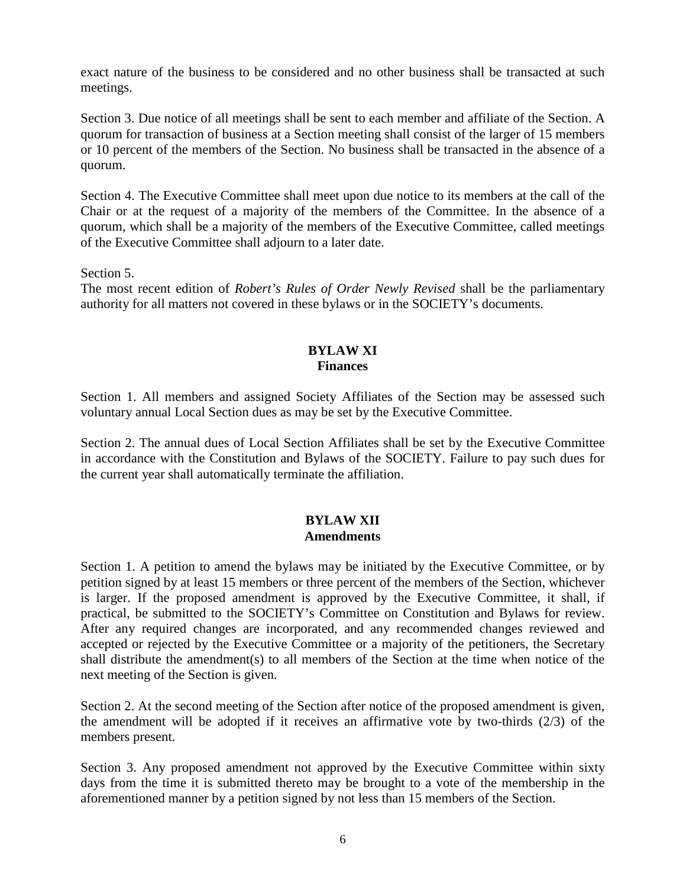exact nature of the business to be considered and no other business shall be transacted at such meetings.

Section 3. Due notice of all meetings shall be sent to each member and affiliate of the Section. A quorum for transaction of business at a Section meeting shall consist of the larger of 15 members or 10 percent of the members of the Section. No business shall be transacted in the absence of a quorum.

Section 4. The Executive Committee shall meet upon due notice to its members at the call of the Chair or at the request of a majority of the members of the Committee. In the absence of a quorum, which shall be a majority of the members of the Executive Committee, called meetings of the Executive Committee shall adjourn to a later date.

Section 5.

The most recent edition of *Robert's Rules of Order Newly Revised* shall be the parliamentary authority for all matters not covered in these bylaws or in the SOCIETY's documents.

#### **BYLAW XI Finances**

Section 1. All members and assigned Society Affiliates of the Section may be assessed such voluntary annual Local Section dues as may be set by the Executive Committee.

Section 2. The annual dues of Local Section Affiliates shall be set by the Executive Committee in accordance with the Constitution and Bylaws of the SOCIETY. Failure to pay such dues for the current year shall automatically terminate the affiliation.

# **BYLAW XII Amendments**

Section 1. A petition to amend the bylaws may be initiated by the Executive Committee, or by petition signed by at least 15 members or three percent of the members of the Section, whichever is larger. If the proposed amendment is approved by the Executive Committee, it shall, if practical, be submitted to the SOCIETY's Committee on Constitution and Bylaws for review. After any required changes are incorporated, and any recommended changes reviewed and accepted or rejected by the Executive Committee or a majority of the petitioners, the Secretary shall distribute the amendment(s) to all members of the Section at the time when notice of the next meeting of the Section is given.

Section 2. At the second meeting of the Section after notice of the proposed amendment is given, the amendment will be adopted if it receives an affirmative vote by two-thirds (2/3) of the members present.

Section 3. Any proposed amendment not approved by the Executive Committee within sixty days from the time it is submitted thereto may be brought to a vote of the membership in the aforementioned manner by a petition signed by not less than 15 members of the Section.